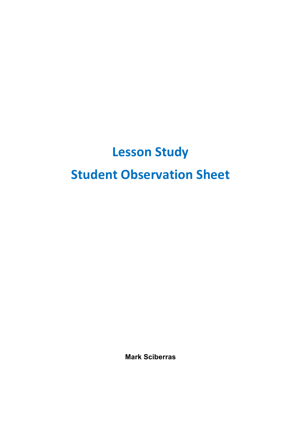## **Lesson Study Student Observation Sheet**

**Mark Sciberras**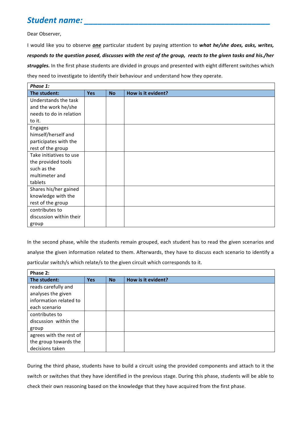## *Student name: \_\_\_\_\_\_\_\_\_\_\_\_\_\_\_\_\_\_\_\_\_\_\_\_\_\_\_\_\_\_\_\_\_\_\_\_\_\_\_\_\_*

Dear Observer,

I would like you to observe *one* particular student by paying attention to what he/she does, asks, writes, *responds* to the question posed, discusses with the rest of the group, reacts to the given tasks and his./her struggles. In the first phase students are divided in groups and presented with eight different switches which they need to investigate to identify their behaviour and understand how they operate.

| Phase 1:                |            |           |                    |  |
|-------------------------|------------|-----------|--------------------|--|
| The student:            | <b>Yes</b> | <b>No</b> | How is it evident? |  |
| Understands the task    |            |           |                    |  |
| and the work he/she     |            |           |                    |  |
| needs to do in relation |            |           |                    |  |
| to it.                  |            |           |                    |  |
| Engages                 |            |           |                    |  |
| himself/herself and     |            |           |                    |  |
| participates with the   |            |           |                    |  |
| rest of the group       |            |           |                    |  |
| Take initiatives to use |            |           |                    |  |
| the provided tools      |            |           |                    |  |
| such as the             |            |           |                    |  |
| multimeter and          |            |           |                    |  |
| tablets                 |            |           |                    |  |
| Shares his/her gained   |            |           |                    |  |
| knowledge with the      |            |           |                    |  |
| rest of the group       |            |           |                    |  |
| contributes to          |            |           |                    |  |
| discussion within their |            |           |                    |  |
| group                   |            |           |                    |  |

In the second phase, while the students remain grouped, each student has to read the given scenarios and analyse the given information related to them. Afterwards, they have to discuss each scenario to identify a particular switch/s which relate/s to the given circuit which corresponds to it.

| Phase 2:                |            |           |                    |  |
|-------------------------|------------|-----------|--------------------|--|
| The student:            | <b>Yes</b> | <b>No</b> | How is it evident? |  |
| reads carefully and     |            |           |                    |  |
| analyses the given      |            |           |                    |  |
| information related to  |            |           |                    |  |
| each scenario           |            |           |                    |  |
| contributes to          |            |           |                    |  |
| discussion within the   |            |           |                    |  |
| group                   |            |           |                    |  |
| agrees with the rest of |            |           |                    |  |
| the group towards the   |            |           |                    |  |
| decisions taken         |            |           |                    |  |

During the third phase, students have to build a circuit using the provided components and attach to it the switch or switches that they have identified in the previous stage. During this phase, students will be able to check their own reasoning based on the knowledge that they have acquired from the first phase.